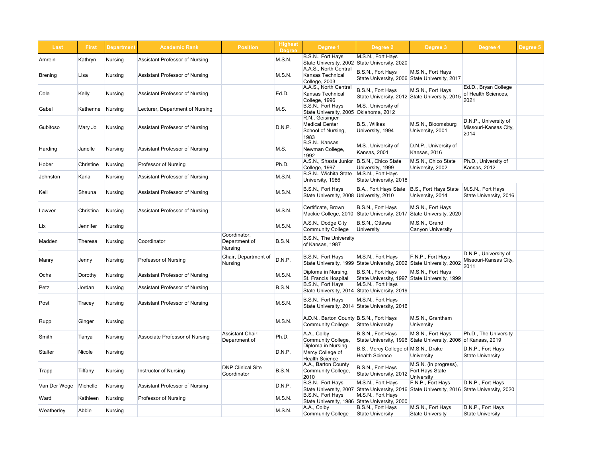| Last         | <b>First</b> | <b>Department</b> | <b>Academic Rank</b>                  | <b>Position</b>                                 | <b>Highest</b><br><b>Degree</b> | Degree 1                                                               | Degree 2                                                                                                         | Degree 3                                                                           | Degree 4                                               | Degree 5 |
|--------------|--------------|-------------------|---------------------------------------|-------------------------------------------------|---------------------------------|------------------------------------------------------------------------|------------------------------------------------------------------------------------------------------------------|------------------------------------------------------------------------------------|--------------------------------------------------------|----------|
| Amrein       | Kathryn      | Nursing           | <b>Assistant Professor of Nursing</b> |                                                 | MS.N.                           | B.S.N., Fort Hays                                                      | M.S.N., Fort Hays<br>State University, 2002 State University, 2020                                               |                                                                                    |                                                        |          |
| Brening      | Lisa         | Nursing           | <b>Assistant Professor of Nursing</b> |                                                 | M.S.N.                          | A.A.S., North Central<br><b>Kansas Technical</b><br>College, 2003      | B.S.N., Fort Hays                                                                                                | M.S.N., Fort Hays<br>State University, 2006 State University, 2017                 |                                                        |          |
| Cole         | Kelly        | Nursing           | <b>Assistant Professor of Nursing</b> |                                                 | Ed.D.                           | A.A.S., North Central<br><b>Kansas Technical</b><br>College, 1996      | B.S.N., Fort Hays<br>State University, 2012 State University, 2015                                               | M.S.N., Fort Hays                                                                  | Ed.D., Bryan College<br>of Health Sciences,<br>2021    |          |
| Gabel        | Katherine    | Nursing           | Lecturer, Department of Nursing       |                                                 | M.S.                            | B.S.N., Fort Hays<br>State University, 2005 Oklahoma, 2012             | M.S., University of                                                                                              |                                                                                    |                                                        |          |
| Gubitoso     | Mary Jo      | Nursing           | <b>Assistant Professor of Nursing</b> |                                                 | D.N.P.                          | R.N., Geisinger<br><b>Medical Center</b><br>School of Nursing,<br>1983 | B.S., Wilkes<br>University, 1994                                                                                 | M.S.N., Bloomsburg<br>University, 2001                                             | D.N.P., University of<br>Missouri-Kansas City,<br>2014 |          |
| Harding      | Janelle      | Nursing           | <b>Assistant Professor of Nursing</b> |                                                 | M.S.                            | B.S.N., Kansas<br>Newman College,<br>1992                              | M.S., University of<br>Kansas, 2001                                                                              | D.N.P., University of<br>Kansas, 2016                                              |                                                        |          |
| Hober        | Christine    | Nursing           | Professor of Nursing                  |                                                 | Ph.D.                           | A.S.N., Shasta Junior<br>College, 1997                                 | B.S.N., Chico State<br>University, 1999                                                                          | M.S.N., Chico State<br>University, 2002                                            | Ph.D., University of<br><b>Kansas, 2012</b>            |          |
| Johnston     | Karla        | Nursing           | <b>Assistant Professor of Nursing</b> |                                                 | M.S.N.                          | B.S.N., Wichita State   M.S.N., Fort Hays<br>University, 1986          | State University, 2018                                                                                           |                                                                                    |                                                        |          |
| Keil         | Shauna       | Nursing           | <b>Assistant Professor of Nursing</b> |                                                 | M.S.N.                          | B.S.N., Fort Hays<br>State University, 2008 University, 2010           | B.A., Fort Hays State B.S., Fort Hays State                                                                      | University, 2014                                                                   | M.S.N., Fort Hays<br>State University, 2016            |          |
| Lawver       | Christina    | Nursing           | <b>Assistant Professor of Nursing</b> |                                                 | M.S.N.                          | Certificate, Brown<br>Mackie College, 2010                             | B.S.N., Fort Hays                                                                                                | M.S.N., Fort Hays<br>State University, 2017 State University, 2020                 |                                                        |          |
| Lix          | Jennifer     | Nursing           |                                       |                                                 | M.S.N.                          | A.S.N., Dodge City<br><b>Community College</b>                         | B.S.N., Ottawa<br>University                                                                                     | M.S.N., Grand<br><b>Canyon University</b>                                          |                                                        |          |
| Madden       | Theresa      | Nursing           | Coordinator                           | Coordinator,<br>Department of<br><b>Nursing</b> | B.S.N.                          | <b>B.S.N., The University</b><br>of Kansas, 1987                       |                                                                                                                  |                                                                                    |                                                        |          |
| Manry        | Jenny        | Nursing           | <b>Professor of Nursing</b>           | Chair, Department of<br><b>Nursing</b>          | D.N.P.                          | B.S.N., Fort Hays                                                      | M.S.N., Fort Hays<br>State University, 1999 State University, 2002 State University, 2002                        | F.N.P., Fort Hays                                                                  | D.N.P., University of<br>Missouri-Kansas City,<br>2011 |          |
| Ochs         | Dorothy      | Nursing           | <b>Assistant Professor of Nursing</b> |                                                 | M.S.N.                          | Diploma in Nursing,<br>St. Francis Hospital                            | B.S.N., Fort Hays<br>State University, 1997 State University, 1999                                               | M.S.N., Fort Hays                                                                  |                                                        |          |
| Petz         | Jordan       | Nursing           | <b>Assistant Professor of Nursing</b> |                                                 | B.S.N.                          | B.S.N., Fort Hays<br>State University, 2014                            | M.S.N., Fort Hays<br>State University, 2019                                                                      |                                                                                    |                                                        |          |
| Post         | Tracey       | Nursing           | <b>Assistant Professor of Nursing</b> |                                                 | MS.N.                           | B.S.N., Fort Hays<br>State University, 2014                            | M.S.N., Fort Hays<br>State University, 2016                                                                      |                                                                                    |                                                        |          |
| Rupp         | Ginger       | Nursing           |                                       |                                                 | M.S.N.                          | A.D.N., Barton County B.S.N., Fort Hays<br><b>Community College</b>    | <b>State University</b>                                                                                          | M.S.N., Grantham<br>University                                                     |                                                        |          |
| Smith        | Tanya        | Nursing           | Associate Professor of Nursing        | Assistant Chair,<br>Department of               | Ph.D.                           | A.A., Colby<br>Community College,                                      | B.S.N., Fort Hays                                                                                                | M.S.N., Fort Hays<br>State University, 1996 State University, 2006 of Kansas, 2019 | Ph.D., The University                                  |          |
| Stalter      | Nicole       | Nursing           |                                       |                                                 | D.N.P.                          | Diploma in Nursing,<br>Mercy College of<br><b>Health Science</b>       | B.S., Mercy College of M.S.N., Drake<br><b>Health Science</b>                                                    | University                                                                         | D.N.P., Fort Hays<br><b>State University</b>           |          |
| Trapp        | Tiffany      | Nursing           | <b>Instructor of Nursing</b>          | <b>DNP Clinical Site</b><br>Coordinator         | <b>B.S.N.</b>                   | A.A., Barton County<br><b>Community College,</b><br>2010               | B.S.N., Fort Hays<br>State University, 2012                                                                      | M.S.N. (in progress),<br><b>Fort Hays State</b><br>University                      |                                                        |          |
| Van Der Wege | Michelle     | Nursing           | <b>Assistant Professor of Nursing</b> |                                                 | D.N.P.                          | B.S.N., Fort Hays                                                      | M.S.N., Fort Hays<br>State University, 2007 State University, 2016 State University, 2016 State University, 2020 | F.N.P., Fort Hays                                                                  | D.N.P., Fort Hays                                      |          |
| Ward         | Kathleen     | Nursing           | <b>Professor of Nursing</b>           |                                                 | M.S.N.                          | B.S.N., Fort Hays                                                      | M.S.N., Fort Hays<br>State University, 1986 State University, 2000                                               |                                                                                    |                                                        |          |
| Weatherley   | Abbie        | Nursing           |                                       |                                                 | M.S.N.                          | A.A., Colby<br><b>Community College</b>                                | B.S.N., Fort Hays<br><b>State University</b>                                                                     | M.S.N., Fort Hays<br><b>State University</b>                                       | D.N.P., Fort Hays<br><b>State University</b>           |          |